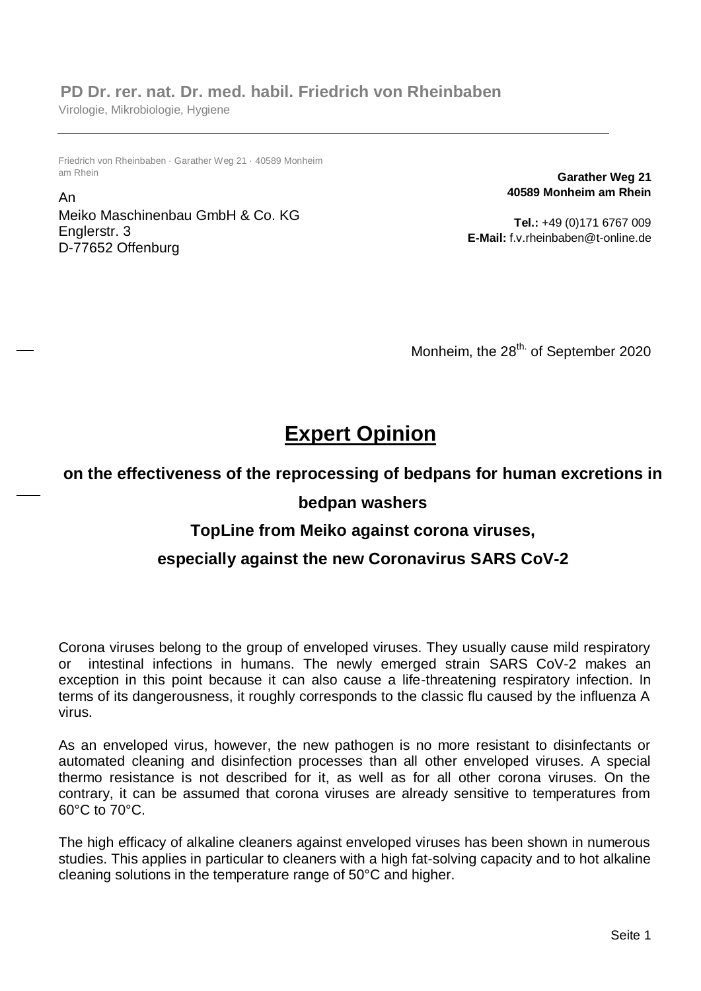## **PD Dr. rer. nat. Dr. med. habil. Friedrich von Rheinbaben**

Virologie, Mikrobiologie, Hygiene

Friedrich von Rheinbaben · Garather Weg 21 · 40589 Monheim am Rhein

An Meiko Maschinenbau GmbH & Co. KG Englerstr. 3 D-77652 Offenburg

**Garather Weg 21 40589 Monheim am Rhein**

**Tel.:** +49 (0)171 6767 009 **E-Mail:** f.v.rheinbaben@t-online.de

Monheim, the 28<sup>th.</sup> of September 2020

# **Expert Opinion**

## **on the effectiveness of the reprocessing of bedpans for human excretions in**

#### **bedpan washers**

## **TopLine from Meiko against corona viruses,**

## **especially against the new Coronavirus SARS CoV-2**

Corona viruses belong to the group of enveloped viruses. They usually cause mild respiratory or intestinal infections in humans. The newly emerged strain SARS CoV-2 makes an exception in this point because it can also cause a life-threatening respiratory infection. In terms of its dangerousness, it roughly corresponds to the classic flu caused by the influenza A virus.

As an enveloped virus, however, the new pathogen is no more resistant to disinfectants or automated cleaning and disinfection processes than all other enveloped viruses. A special thermo resistance is not described for it, as well as for all other corona viruses. On the contrary, it can be assumed that corona viruses are already sensitive to temperatures from 60°C to 70°C.

The high efficacy of alkaline cleaners against enveloped viruses has been shown in numerous studies. This applies in particular to cleaners with a high fat-solving capacity and to hot alkaline cleaning solutions in the temperature range of 50°C and higher.